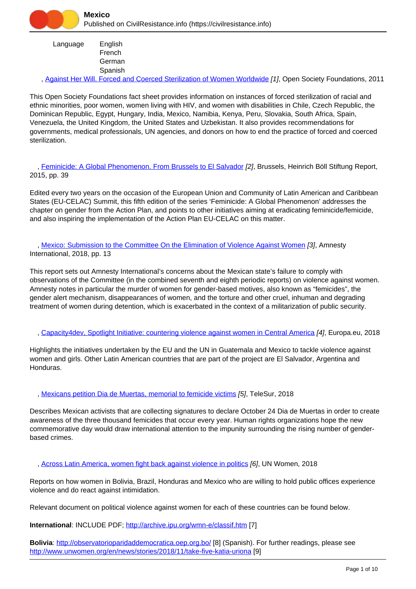Language English French **German** Spanish

, [Against Her Will. Forced and Coerced Sterilization of Women Worldwide](https://civilresistance.info/biblio-item/2011/against-her-will-forced-and-coerced-sterilization-women-worldwide) [1], Open Society Foundations, 2011

This Open Society Foundations fact sheet provides information on instances of forced sterilization of racial and ethnic minorities, poor women, women living with HIV, and women with disabilities in Chile, Czech Republic, the Dominican Republic, Egypt, Hungary, India, Mexico, Namibia, Kenya, Peru, Slovakia, South Africa, Spain, Venezuela, the United Kingdom, the United States and Uzbekistan. It also provides recommendations for governments, medical professionals, UN agencies, and donors on how to end the practice of forced and coerced sterilization.

 , [Feminicide: A Global Phenomenon. From Brussels to El Salvador](https://civilresistance.info/biblio-item/2015/feminicide-global-phenomenon-brussels-el-salvador) [2], Brussels, Heinrich Böll Stiftung Report, 2015, pp. 39

Edited every two years on the occasion of the European Union and Community of Latin American and Caribbean States (EU-CELAC) Summit, this fifth edition of the series 'Feminicide: A Global Phenomenon' addresses the chapter on gender from the Action Plan, and points to other initiatives aiming at eradicating feminicide/femicide, and also inspiring the implementation of the Action Plan EU-CELAC on this matter.

 , [Mexico: Submission to the Committee On the Elimination of Violence Against Women](https://civilresistance.info/biblio-item/2018/mexico-submission-committee-elimination-violence-against-women) [3], Amnesty International, 2018, pp. 13

This report sets out Amnesty International's concerns about the Mexican state's failure to comply with observations of the Committee (in the combined seventh and eighth periodic reports) on violence against women. Amnesty notes in particular the murder of women for gender-based motives, also known as "femicides", the gender alert mechanism, disappearances of women, and the torture and other cruel, inhuman and degrading treatment of women during detention, which is exacerbated in the context of a militarization of public security.

, [Capacity4dev, Spotlight Initiative: countering violence against women in Central America](https://civilresistance.info/biblio-item/2018/capacity4dev-spotlight-initiative-countering-violence-against-women-central-america) [4], Europa.eu, 2018

Highlights the initiatives undertaken by the EU and the UN in Guatemala and Mexico to tackle violence against women and girls. Other Latin American countries that are part of the project are El Salvador, Argentina and Honduras.

, [Mexicans petition Dia de Muertas, memorial to femicide victims](https://civilresistance.info/biblio-item/2018/mexicans-petition-dia-de-muertas-memorial-femicide-victims) [5], TeleSur, 2018

Describes Mexican activists that are collecting signatures to declare October 24 Dia de Muertas in order to create awareness of the three thousand femicides that occur every year. Human rights organizations hope the new commemorative day would draw international attention to the impunity surrounding the rising number of genderbased crimes.

, [Across Latin America, women fight back against violence in politics](https://civilresistance.info/biblio-item/2018/across-latin-america-women-fight-back-against-violence-politics) [6], UN Women, 2018

Reports on how women in Bolivia, Brazil, Honduras and Mexico who are willing to hold public offices experience violence and do react against intimidation.

Relevant document on political violence against women for each of these countries can be found below.

**International**: INCLUDE PDF;<http://archive.ipu.org/wmn-e/classif.htm> [7]

**Bolivia**: <http://observatorioparidaddemocratica.oep.org.bo/> [8] (Spanish). For further readings, please see <http://www.unwomen.org/en/news/stories/2018/11/take-five-katia-uriona> [9]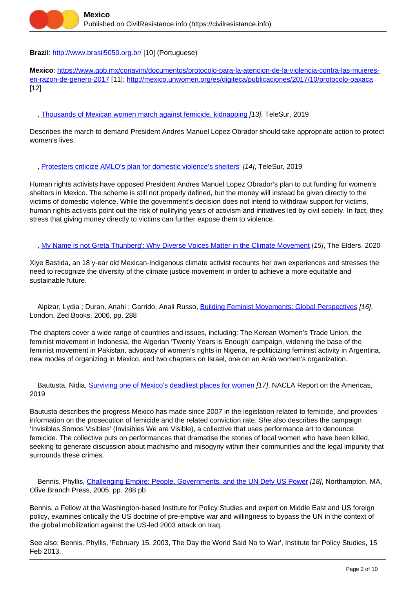

### **Brazil**:<http://www.brasil5050.org.br/> [10] (Portuguese)

**Mexico**: [https://www.gob.mx/conavim/documentos/protocolo-para-la-atencion-de-la-violencia-contra-las-mujeres](https://www.gob.mx/conavim/documentos/protocolo-para-la-atencion-de-la-violencia-contra-las-mujeres-en-razon-de-genero-2017)[en-razon-de-genero-2017](https://www.gob.mx/conavim/documentos/protocolo-para-la-atencion-de-la-violencia-contra-las-mujeres-en-razon-de-genero-2017) [11];<http://mexico.unwomen.org/es/digiteca/publicaciones/2017/10/protocolo-oaxaca> [12]

, [Thousands of Mexican women march against femicide, kidnapping](https://civilresistance.info/biblio-item/2019/thousands-mexican-women-march-against-femicide-kidnapping) [13], TeleSur, 2019

Describes the march to demand President Andres Manuel Lopez Obrador should take appropriate action to protect women's lives.

### , [Protesters criticize AMLO's plan for domestic violence's shelters'](https://civilresistance.info/biblio-item/2019/protesters-criticize-amlos-plan-domestic-violences-shelters) [14], TeleSur, 2019

Human rights activists have opposed President Andres Manuel Lopez Obrador's plan to cut funding for women's shelters in Mexico. The scheme is still not properly defined, but the money will instead be given directly to the victims of domestic violence. While the government's decision does not intend to withdraw support for victims, human rights activists point out the risk of nullifying years of activism and initiatives led by civil society. In fact, they stress that giving money directly to victims can further expose them to violence.

, [My Name is not Greta Thunberg': Why Diverse Voices Matter in the Climate Movement](https://civilresistance.info/biblio-item/2020/my-name-not-greta-thunberg-why-diverse-voices-matter-climate-movement) [15], The Elders, 2020

Xiye Bastida, an 18 y-ear old Mexican-Indigenous climate activist recounts her own experiences and stresses the need to recognize the diversity of the climate justice movement in order to achieve a more equitable and sustainable future.

 Alpizar, Lydia ; Duran, Anahi ; Garrido, Anali Russo, [Building Feminist Movements: Global Perspectives](https://civilresistance.info/biblio-item/2006/building-feminist-movements-global-perspectives) [16], London, Zed Books, 2006, pp. 288

The chapters cover a wide range of countries and issues, including: The Korean Women's Trade Union, the feminist movement in Indonesia, the Algerian 'Twenty Years is Enough' campaign, widening the base of the feminist movement in Pakistan, advocacy of women's rights in Nigeria, re-politicizing feminist activity in Argentina, new modes of organizing in Mexico, and two chapters on Israel, one on an Arab women's organization.

Bautusta describes the progress Mexico has made since 2007 in the legislation related to femicide, and provides information on the prosecution of femicide and the related conviction rate. She also describes the campaign 'Invisibles Somos Visibles' (Invisibles We are Visible), a collective that uses performance art to denounce femicide. The collective puts on performances that dramatise the stories of local women who have been killed, seeking to generate discussion about machismo and misogyny within their communities and the legal impunity that surrounds these crimes.

Bennis, Phyllis, [Challenging Empire: People, Governments, and the UN Defy US Power](https://civilresistance.info/biblio-item/2005/challenging-empire-people-governments-and-un-defy-us-power) [18], Northampton, MA, Olive Branch Press, 2005, pp. 288 pb

Bennis, a Fellow at the Washington-based Institute for Policy Studies and expert on Middle East and US foreign policy, examines critically the US doctrine of pre-emptive war and willingness to bypass the UN in the context of the global mobilization against the US-led 2003 attack on Iraq.

See also: Bennis, Phyllis, 'February 15, 2003, The Day the World Said No to War', Institute for Policy Studies, 15 Feb 2013.

Bautusta, Nidia, [Surviving one of Mexico's deadliest places for women](https://civilresistance.info/biblio-item/2019/surviving-one-mexicos-deadliest-places-women) [17], NACLA Report on the Americas, 2019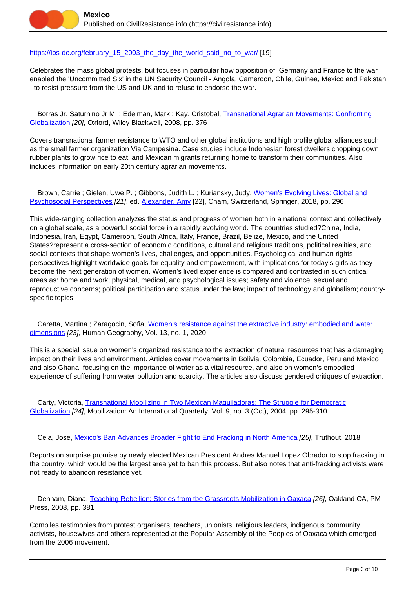

### [https://ips-dc.org/february\\_15\\_2003\\_the\\_day\\_the\\_world\\_said\\_no\\_to\\_war/](https://ips-dc.org/february_15_2003_the_day_the_world_said_no_to_war/) [19]

Celebrates the mass global protests, but focuses in particular how opposition of Germany and France to the war enabled the 'Uncommitted Six' in the UN Security Council - Angola, Cameroon, Chile, Guinea, Mexico and Pakistan - to resist pressure from the US and UK and to refuse to endorse the war.

 Borras Jr, Saturnino Jr M. ; Edelman, Mark ; Kay, Cristobal, [Transnational Agrarian Movements: Confronting](https://civilresistance.info/biblio-item/2008/transnational-agrarian-movements-confronting-globalization) [Globalization](https://civilresistance.info/biblio-item/2008/transnational-agrarian-movements-confronting-globalization) [20], Oxford, Wiley Blackwell, 2008, pp. 376

Covers transnational farmer resistance to WTO and other global institutions and high profile global alliances such as the small farmer organization Via Campesina. Case studies include Indonesian forest dwellers chopping down rubber plants to grow rice to eat, and Mexican migrants returning home to transform their communities. Also includes information on early 20th century agrarian movements.

Brown, Carrie ; Gielen, Uwe P. ; Gibbons, Judith L. ; Kuriansky, Judy, [Women's Evolving Lives: Global and](https://civilresistance.info/biblio-item/2018/womens-evolving-lives-global-and-psychosocial-perspectives) [Psychosocial Perspectives](https://civilresistance.info/biblio-item/2018/womens-evolving-lives-global-and-psychosocial-perspectives) [21], ed. [Alexander, Amy](https://civilresistance.info/author/2554) [22], Cham, Switzerland, Springer, 2018, pp. 296

This wide-ranging collection analyzes the status and progress of women both in a national context and collectively on a global scale, as a powerful social force in a rapidly evolving world. The countries studied?China, India, Indonesia, Iran, Egypt, Cameroon, South Africa, Italy, France, Brazil, Belize, Mexico, and the United States?represent a cross-section of economic conditions, cultural and religious traditions, political realities, and social contexts that shape women's lives, challenges, and opportunities. Psychological and human rights perspectives highlight worldwide goals for equality and empowerment, with implications for today's girls as they become the next generation of women. Women's lived experience is compared and contrasted in such critical areas as: home and work; physical, medical, and psychological issues; safety and violence; sexual and reproductive concerns; political participation and status under the law; impact of technology and globalism; countryspecific topics.

 Caretta, Martina ; Zaragocin, Sofia, [Women's resistance against the extractive industry: embodied and water](https://civilresistance.info/biblio-item/2020/womens-resistance-against-extractive-industry-embodied-and-water-dimensions) [dimensions](https://civilresistance.info/biblio-item/2020/womens-resistance-against-extractive-industry-embodied-and-water-dimensions) [23], Human Geography, Vol. 13, no. 1, 2020

This is a special issue on women's organized resistance to the extraction of natural resources that has a damaging impact on their lives and environment. Articles cover movements in Bolivia, Colombia, Ecuador, Peru and Mexico and also Ghana, focusing on the importance of water as a vital resource, and also on women's embodied experience of suffering from water pollution and scarcity. The articles also discuss gendered critiques of extraction.

 Carty, Victoria, [Transnational Mobilizing in Two Mexican Maquiladoras: The Struggle for Democratic](https://civilresistance.info/biblio-item/2004/transnational-mobilizing-two-mexican-maquiladoras-struggle-democratic-globalization) [Globalization](https://civilresistance.info/biblio-item/2004/transnational-mobilizing-two-mexican-maquiladoras-struggle-democratic-globalization) [24], Mobilization: An International Quarterly, Vol. 9, no. 3 (Oct), 2004, pp. 295-310

Ceja, Jose, [Mexico's Ban Advances Broader Fight to End Fracking in North America](https://civilresistance.info/biblio-item/2018/mexicos-ban-advances-broader-fight-end-fracking-north-america) [25], Truthout, 2018

Reports on surprise promise by newly elected Mexican President Andres Manuel Lopez Obrador to stop fracking in the country, which would be the largest area yet to ban this process. But also notes that anti-fracking activists were not ready to abandon resistance yet.

 Denham, Diana, [Teaching Rebellion: Stories from tbe Grassroots Mobilization in Oaxaca](https://civilresistance.info/biblio-item/2008/teaching-rebellion-stories-tbe-grassroots-mobilization-oaxaca) [26], Oakland CA, PM Press, 2008, pp. 381

Compiles testimonies from protest organisers, teachers, unionists, religious leaders, indigenous community activists, housewives and others represented at the Popular Assembly of the Peoples of Oaxaca which emerged from the 2006 movement.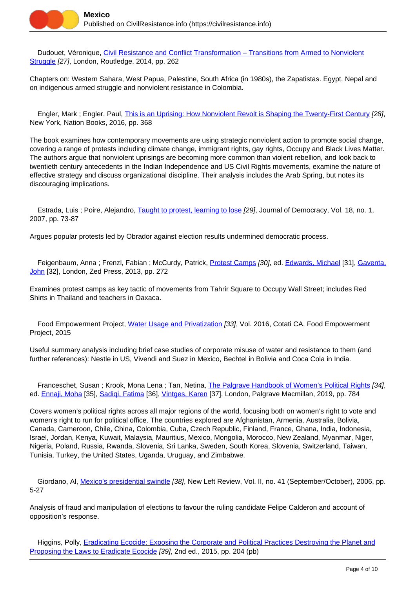

Dudouet, Véronique, [Civil Resistance and Conflict Transformation – Transitions from Armed to Nonviolent](https://civilresistance.info/biblio-item/2014/civil-resistance-and-conflict-transformation-transitions-armed-nonviolent-struggle) [Struggle](https://civilresistance.info/biblio-item/2014/civil-resistance-and-conflict-transformation-transitions-armed-nonviolent-struggle) [27], London, Routledge, 2014, pp. 262

Chapters on: Western Sahara, West Papua, Palestine, South Africa (in 1980s), the Zapatistas. Egypt, Nepal and on indigenous armed struggle and nonviolent resistance in Colombia.

 Engler, Mark ; Engler, Paul, [This is an Uprising: How Nonviolent Revolt is Shaping the Twenty-First Century](https://civilresistance.info/biblio-item/2016/uprising-how-nonviolent-revolt-shaping-twenty-first-century) [28], New York, Nation Books, 2016, pp. 368

The book examines how contemporary movements are using strategic nonviolent action to promote social change, covering a range of protests including climate change, immigrant rights, gay rights, Occupy and Black Lives Matter. The authors argue that nonviolent uprisings are becoming more common than violent rebellion, and look back to twentieth century antecedents in the Indian Independence and US Civil Rights movements, examine the nature of effective strategy and discuss organizational discipline. Their analysis includes the Arab Spring, but notes its discouraging implications.

Estrada, Luis ; Poire, Alejandro, [Taught to protest, learning to lose](https://civilresistance.info/biblio-item/2007/taught-protest-learning-lose) [29], Journal of Democracy, Vol. 18, no. 1, 2007, pp. 73-87

Argues popular protests led by Obrador against election results undermined democratic process.

Feigenbaum, Anna; Frenzl, Fabian; McCurdy, Patrick, [Protest Camps](https://civilresistance.info/biblio-item/2013/protest-camps) [30], ed. [Edwards, Michael](https://civilresistance.info/author/1158) [31], [Gaventa,](https://civilresistance.info/author/1159) [John](https://civilresistance.info/author/1159) [32], London, Zed Press, 2013, pp. 272

Examines protest camps as key tactic of movements from Tahrir Square to Occupy Wall Street; includes Red Shirts in Thailand and teachers in Oaxaca.

Food Empowerment Project, [Water Usage and Privatization](https://civilresistance.info/biblio-item/2015/water-usage-and-privatization) [33], Vol. 2016, Cotati CA, Food Empowerment Project, 2015

Useful summary analysis including brief case studies of corporate misuse of water and resistance to them (and further references): Nestle in US, Vivendi and Suez in Mexico, Bechtel in Bolivia and Coca Cola in India.

Franceschet, Susan ; Krook, Mona Lena ; Tan, Netina, [The Palgrave Handbook of Women's Political Rights](https://civilresistance.info/biblio-item/2019/palgrave-handbook-womens-political-rights) [34], ed. [Ennaji, Moha](https://civilresistance.info/author/2571) [35], [Sadiqi, Fatima](https://civilresistance.info/author/2572) [36], [Vintges, Karen](https://civilresistance.info/author/2573) [37], London, Palgrave Macmillan, 2019, pp. 784

Covers women's political rights across all major regions of the world, focusing both on women's right to vote and women's right to run for political office. The countries explored are Afghanistan, Armenia, Australia, Bolivia, Canada, Cameroon, Chile, China, Colombia, Cuba, Czech Republic, Finland, France, Ghana, India, Indonesia, Israel, Jordan, Kenya, Kuwait, Malaysia, Mauritius, Mexico, Mongolia, Morocco, New Zealand, Myanmar, Niger, Nigeria, Poland, Russia, Rwanda, Slovenia, Sri Lanka, Sweden, South Korea, Slovenia, Switzerland, Taiwan, Tunisia, Turkey, the United States, Uganda, Uruguay, and Zimbabwe.

 Giordano, Al, [Mexico's presidential swindle](https://civilresistance.info/biblio-item/2006/mexicos-presidential-swindle) [38], New Left Review, Vol. II, no. 41 (September/October), 2006, pp. 5-27

Analysis of fraud and manipulation of elections to favour the ruling candidate Felipe Calderon and account of opposition's response.

Higgins, Polly, **[Eradicating Ecocide: Exposing the Corporate and Political Practices Destroying the Planet and](https://civilresistance.info/biblio-item/2015/eradicating-ecocide-exposing-corporate-and-political-practices-destroying-planet)** [Proposing the Laws to Eradicate Ecocide](https://civilresistance.info/biblio-item/2015/eradicating-ecocide-exposing-corporate-and-political-practices-destroying-planet) [39], 2nd ed., 2015, pp. 204 (pb)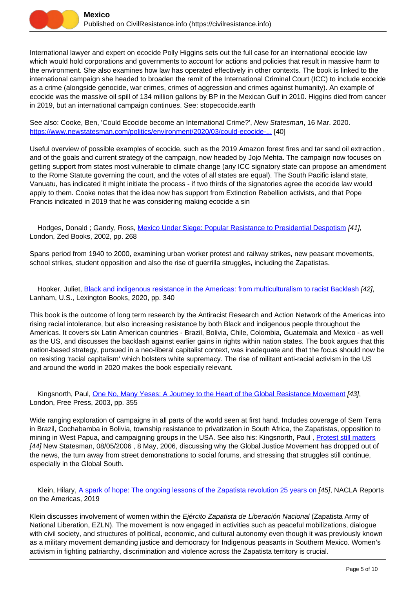International lawyer and expert on ecocide Polly Higgins sets out the full case for an international ecocide law which would hold corporations and governments to account for actions and policies that result in massive harm to the environment. She also examines how law has operated effectively in other contexts. The book is linked to the international campaign she headed to broaden the remit of the International Criminal Court (ICC) to include ecocide as a crime (alongside genocide, war crimes, crimes of aggression and crimes against humanity). An example of ecocide was the massive oil spill of 134 million gallons by BP in the Mexican Gulf in 2010. Higgins died from cancer in 2019, but an international campaign continues. See: stopecocide.earth

See also: Cooke, Ben, 'Could Ecocide become an International Crime?', New Statesman, 16 Mar. 2020. [https://www.newstatesman.com/politics/environment/2020/03/could-ecocide-...](https://www.newstatesman.com/politics/environment/2020/03/could-ecocide-become-international-crime-1) [40]

Useful overview of possible examples of ecocide, such as the 2019 Amazon forest fires and tar sand oil extraction , and of the goals and current strategy of the campaign, now headed by Jojo Mehta. The campaign now focuses on getting support from states most vulnerable to climate change (any ICC signatory state can propose an amendment to the Rome Statute governing the court, and the votes of all states are equal). The South Pacific island state, Vanuatu, has indicated it might initiate the process - if two thirds of the signatories agree the ecocide law would apply to them. Cooke notes that the idea now has support from Extinction Rebellion activists, and that Pope Francis indicated in 2019 that he was considering making ecocide a sin

 Hodges, Donald ; Gandy, Ross, [Mexico Under Siege: Popular Resistance to Presidential Despotism](https://civilresistance.info/biblio-item/2002/mexico-under-siege-popular-resistance-presidential-despotism) [41], London, Zed Books, 2002, pp. 268

Spans period from 1940 to 2000, examining urban worker protest and railway strikes, new peasant movements, school strikes, student opposition and also the rise of guerrilla struggles, including the Zapatistas.

Hooker, Juliet, **Black and indigenous resistance in the Americas: from multiculturalism to racist Backlash [42]**, Lanham, U.S., Lexington Books, 2020, pp. 340

This book is the outcome of long term research by the Antiracist Research and Action Network of the Americas into rising racial intolerance, but also increasing resistance by both Black and indigenous people throughout the Americas. It covers six Latin American countries - Brazil, Bolivia, Chile, Colombia, Guatemala and Mexico - as well as the US, and discusses the backlash against earlier gains in rights within nation states. The book argues that this nation-based strategy, pursued in a neo-liberal capitalist context, was inadequate and that the focus should now be on resisting 'racial capitalism' which bolsters white supremacy. The rise of militant anti-racial activism in the US and around the world in 2020 makes the book especially relevant.

Kingsnorth, Paul, [One No, Many Yeses: A Journey to the Heart of the Global Resistance Movement](https://civilresistance.info/biblio-item/2003/one-no-many-yeses-journey-heart-global-resistance-movement) [43], London, Free Press, 2003, pp. 355

Wide ranging exploration of campaigns in all parts of the world seen at first hand. Includes coverage of Sem Terra in Brazil, Cochabamba in Bolivia, township resistance to privatization in South Africa, the Zapatistas, opposition to mining in West Papua, and campaigning groups in the USA. See also his: Kingsnorth, Paul , [Protest still matters](https://civilresistance.info/biblio-item/2006/protest-still-matters) [44] New Statesman, 08/05/2006 , 8 May, 2006, discussing why the Global Justice Movement has dropped out of the news, the turn away from street demonstrations to social forums, and stressing that struggles still continue, especially in the Global South.

Klein, Hilary, [A spark of hope: The ongoing lessons of the Zapatista revolution 25 years on](https://civilresistance.info/biblio-item/2019/spark-hope-ongoing-lessons-zapatista-revolution-25-years-0) [45], NACLA Reports on the Americas, 2019

Klein discusses involvement of women within the Ejército Zapatista de Liberación Nacional (Zapatista Army of National Liberation, EZLN). The movement is now engaged in activities such as peaceful mobilizations, dialogue with civil society, and structures of political, economic, and cultural autonomy even though it was previously known as a military movement demanding justice and democracy for Indigenous peasants in Southern Mexico. Women's activism in fighting patriarchy, discrimination and violence across the Zapatista territory is crucial.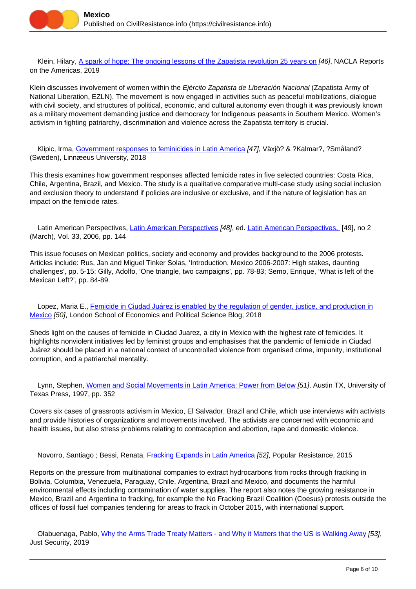

 Klein, Hilary, [A spark of hope: The ongoing lessons of the Zapatista revolution 25 years on](https://civilresistance.info/biblio-item/2019/spark-hope-ongoing-lessons-zapatista-revolution-25-years) [46], NACLA Reports on the Americas, 2019

Klein discusses involvement of women within the Ejército Zapatista de Liberación Nacional (Zapatista Army of National Liberation, EZLN). The movement is now engaged in activities such as peaceful mobilizations, dialogue with civil society, and structures of political, economic, and cultural autonomy even though it was previously known as a military movement demanding justice and democracy for Indigenous peasants in Southern Mexico. Women's activism in fighting patriarchy, discrimination and violence across the Zapatista territory is crucial.

 Klipic, Irma, [Government responses to feminicides in Latin America](https://civilresistance.info/biblio-item/2018/government-responses-feminicides-latin-america) [47], Växjö? & ?Kalmar?, ?Småland? (Sweden), Linnæeus University, 2018

This thesis examines how government responses affected femicide rates in five selected countries: Costa Rica, Chile, Argentina, Brazil, and Mexico. The study is a qualitative comparative multi-case study using social inclusion and exclusion theory to understand if policies are inclusive or exclusive, and if the nature of legislation has an impact on the femicide rates.

[Latin American Perspectives](https://civilresistance.info/biblio-item/2006/latin-american-perspectives), Latin American Perspectives [48], ed. [Latin American Perspectives,](https://civilresistance.info/author/1011) [49], no 2 (March), Vol. 33, 2006, pp. 144

This issue focuses on Mexican politics, society and economy and provides background to the 2006 protests. Articles include: Rus, Jan and Miguel Tinker Solas, 'Introduction. Mexico 2006-2007: High stakes, daunting challenges', pp. 5-15; Gilly, Adolfo, 'One triangle, two campaigns', pp. 78-83; Semo, Enrique, 'What is left of the Mexican Left?', pp. 84-89.

 Lopez, Maria E., [Femicide in Ciudad Juárez is enabled by the regulation of gender, justice, and production in](https://civilresistance.info/biblio-item/2018/femicide-ciudad-juarez-enabled-regulation-gender-justice-and-production-mexico) [Mexico](https://civilresistance.info/biblio-item/2018/femicide-ciudad-juarez-enabled-regulation-gender-justice-and-production-mexico) [50], London School of Economics and Political Science Blog, 2018

Sheds light on the causes of femicide in Ciudad Juarez, a city in Mexico with the highest rate of femicides. It highlights nonviolent initiatives led by feminist groups and emphasises that the pandemic of femicide in Ciudad Juárez should be placed in a national context of uncontrolled violence from organised crime, impunity, institutional corruption, and a patriarchal mentality.

Lynn, Stephen, [Women and Social Movements in Latin America: Power from Below](https://civilresistance.info/biblio-item/1997/women-and-social-movements-latin-america-power-below) [51], Austin TX, University of Texas Press, 1997, pp. 352

Covers six cases of grassroots activism in Mexico, El Salvador, Brazil and Chile, which use interviews with activists and provide histories of organizations and movements involved. The activists are concerned with economic and health issues, but also stress problems relating to contraception and abortion, rape and domestic violence.

Novorro, Santiago ; Bessi, Renata, *Fracking Expands in Latin America [52]*, Popular Resistance, 2015

Reports on the pressure from multinational companies to extract hydrocarbons from rocks through fracking in Bolivia, Columbia, Venezuela, Paraguay, Chile, Argentina, Brazil and Mexico, and documents the harmful environmental effects including contamination of water supplies. The report also notes the growing resistance in Mexico, Brazil and Argentina to fracking, for example the No Fracking Brazil Coalition (Coesus) protests outside the offices of fossil fuel companies tendering for areas to frack in October 2015, with international support.

 Olabuenaga, Pablo, [Why the Arms Trade Treaty Matters - and Why it Matters that the US is Walking Away](https://civilresistance.info/biblio-item/2019/why-arms-trade-treaty-matters-and-why-it-matters-us-walking-away) [53], Just Security, 2019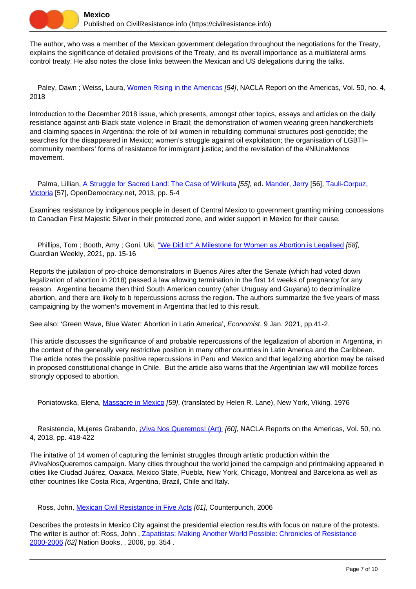The author, who was a member of the Mexican government delegation throughout the negotiations for the Treaty, explains the significance of detailed provisions of the Treaty, and its overall importance as a multilateral arms control treaty. He also notes the close links between the Mexican and US delegations during the talks.

Paley, Dawn; Weiss, Laura, [Women Rising in the Americas](https://civilresistance.info/biblio-item/2018/women-rising-americas) [54], NACLA Report on the Americas, Vol. 50, no. 4, 2018

Introduction to the December 2018 issue, which presents, amongst other topics, essays and articles on the daily resistance against anti-Black state violence in Brazil; the demonstration of women wearing green handkerchiefs and claiming spaces in Argentina; the role of Ixil women in rebuilding communal structures post-genocide; the searches for the disappeared in Mexico; women's struggle against oil exploitation; the organisation of LGBTI+ community members' forms of resistance for immigrant justice; and the revisitation of the #NiUnaMenos movement.

Palma, Lillian, [A Struggle for Sacred Land: The Case of Wirikuta](https://civilresistance.info/biblio-item/2013/struggle-sacred-land-case-wirikuta) [55], ed. [Mander, Jerry](https://civilresistance.info/author/1510) [56], [Tauli-Corpuz,](https://civilresistance.info/author/1511) [Victoria](https://civilresistance.info/author/1511) [57], OpenDemocracy.net, 2013, pp. 5-4

Examines resistance by indigenous people in desert of Central Mexico to government granting mining concessions to Canadian First Majestic Silver in their protected zone, and wider support in Mexico for their cause.

Phillips, Tom ; Booth, Amy ; Goni, Uki, ["We Did It!" A Milestone for Women as Abortion is Legalised](https://civilresistance.info/biblio-item/2021/we-did-it-milestone-women-abortion-legalised) [58], Guardian Weekly, 2021, pp. 15-16

Reports the jubilation of pro-choice demonstrators in Buenos Aires after the Senate (which had voted down legalization of abortion in 2018) passed a law allowing termination in the first 14 weeks of pregnancy for any reason. Argentina became then third South American country (after Uruguay and Guyana) to decriminalize abortion, and there are likely to b repercussions across the region. The authors summarize the five years of mass campaigning by the women's movement in Argentina that led to this result.

See also: 'Green Wave, Blue Water: Abortion in Latin America', Economist, 9 Jan. 2021, pp.41-2.

This article discusses the significance of and probable repercussions of the legalization of abortion in Argentina, in the context of the generally very restrictive position in many other countries in Latin America and the Caribbean. The article notes the possible positive repercussions in Peru and Mexico and that legalizing abortion may be raised in proposed constitutional change in Chile. But the article also warns that the Argentinian law will mobilize forces strongly opposed to abortion.

Poniatowska, Elena, [Massacre in Mexico](https://civilresistance.info/biblio-item/1976/massacre-mexico) [59], (translated by Helen R. Lane), New York, Viking, 1976

Resistencia, Mujeres Grabando, *¡Viva Nos Queremos! (Art) [60]*, NACLA Reports on the Americas, Vol. 50, no. 4, 2018, pp. 418-422

The initative of 14 women of capturing the feminist struggles through artistic production within the #VivaNosQueremos campaign. Many cities throughout the world joined the campaign and printmaking appeared in cities like Ciudad Juárez, Oaxaca, Mexico State, Puebla, New York, Chicago, Montreal and Barcelona as well as other countries like Costa Rica, Argentina, Brazil, Chile and Italy.

Ross, John, [Mexican Civil Resistance in Five Acts](https://civilresistance.info/biblio-item/2006/mexican-civil-resistance-five-acts) [61], Counterpunch, 2006

Describes the protests in Mexico City against the presidential election results with focus on nature of the protests. The writer is author of: Ross, John , [Zapatistas: Making Another World Possible: Chronicles of Resistance](https://civilresistance.info/biblio-item/2006/zapatistas-making-another-world-possible-chronicles-resistance-2000-2006) [2000-2006](https://civilresistance.info/biblio-item/2006/zapatistas-making-another-world-possible-chronicles-resistance-2000-2006) [62] Nation Books, , 2006, pp. 354 .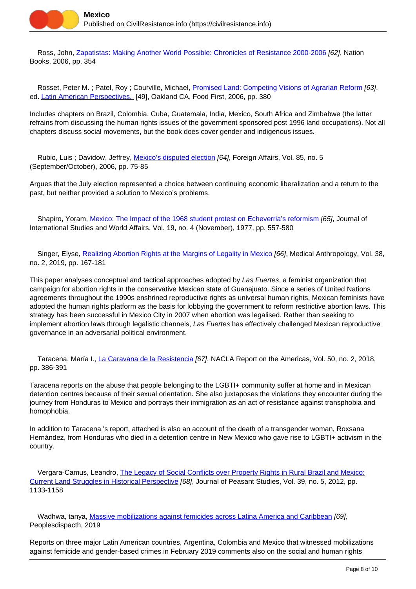

 Ross, John, [Zapatistas: Making Another World Possible: Chronicles of Resistance 2000-2006](https://civilresistance.info/biblio-item/2006/zapatistas-making-another-world-possible-chronicles-resistance-2000-2006) [62], Nation Books, 2006, pp. 354

Rosset, Peter M. ; Patel, Roy ; Courville, Michael, *Promised Land: Competing Visions of Agrarian Reform [63]*, ed. [Latin American Perspectives,](https://civilresistance.info/author/1011) [49], Oakland CA, Food First, 2006, pp. 380

Includes chapters on Brazil, Colombia, Cuba, Guatemala, India, Mexico, South Africa and Zimbabwe (the latter refrains from discussing the human rights issues of the government sponsored post 1996 land occupations). Not all chapters discuss social movements, but the book does cover gender and indigenous issues.

Rubio, Luis ; Davidow, Jeffrey, [Mexico's disputed election](https://civilresistance.info/biblio-item/2006/mexicos-disputed-election) [64], Foreign Affairs, Vol. 85, no. 5 (September/October), 2006, pp. 75-85

Argues that the July election represented a choice between continuing economic liberalization and a return to the past, but neither provided a solution to Mexico's problems.

Shapiro, Yoram, [Mexico: The Impact of the 1968 student protest on Echeverria's reformism](https://civilresistance.info/biblio-item/1977/mexico-impact-1968-student-protest-echeverrias-reformism) [65], Journal of International Studies and World Affairs, Vol. 19, no. 4 (November), 1977, pp. 557-580

Singer, Elyse, [Realizing Abortion Rights at the Margins of Legality in Mexico](https://civilresistance.info/biblio-item/2019/realizing-abortion-rights-margins-legality-mexico) [66], Medical Anthropology, Vol. 38, no. 2, 2019, pp. 167-181

This paper analyses conceptual and tactical approaches adopted by Las Fuertes, a feminist organization that campaign for abortion rights in the conservative Mexican state of Guanajuato. Since a series of United Nations agreements throughout the 1990s enshrined reproductive rights as universal human rights, Mexican feminists have adopted the human rights platform as the basis for lobbying the government to reform restrictive abortion laws. This strategy has been successful in Mexico City in 2007 when abortion was legalised. Rather than seeking to implement abortion laws through legalistic channels, Las Fuertes has effectively challenged Mexican reproductive governance in an adversarial political environment.

 Taracena, María I., [La Caravana de la Resistencia](https://civilresistance.info/biblio-item/2018/la-caravana-de-la-resistencia) [67], NACLA Report on the Americas, Vol. 50, no. 2, 2018, pp. 386-391

Taracena reports on the abuse that people belonging to the LGBTI+ community suffer at home and in Mexican detention centres because of their sexual orientation. She also juxtaposes the violations they encounter during the journey from Honduras to Mexico and portrays their immigration as an act of resistance against transphobia and homophobia.

In addition to Taracena 's report, attached is also an account of the death of a transgender woman, Roxsana Hernández, from Honduras who died in a detention centre in New Mexico who gave rise to LGBTI+ activism in the country.

 Vergara-Camus, Leandro, [The Legacy of Social Conflicts over Property Rights in Rural Brazil and Mexico:](https://civilresistance.info/biblio-item/2012/legacy-social-conflicts-over-property-rights-rural-brazil-and-mexico-current-land) [Current Land Struggles in Historical Perspective](https://civilresistance.info/biblio-item/2012/legacy-social-conflicts-over-property-rights-rural-brazil-and-mexico-current-land) [68], Journal of Peasant Studies, Vol. 39, no. 5, 2012, pp. 1133-1158

Wadhwa, tanya, [Massive mobilizations against femicides across Latina America and Caribbean](https://civilresistance.info/biblio-item/2019/massive-mobilizations-against-femicides-across-latina-america-and-caribbean) [69], Peoplesdispacth, 2019

Reports on three major Latin American countries, Argentina, Colombia and Mexico that witnessed mobilizations against femicide and gender-based crimes in February 2019 comments also on the social and human rights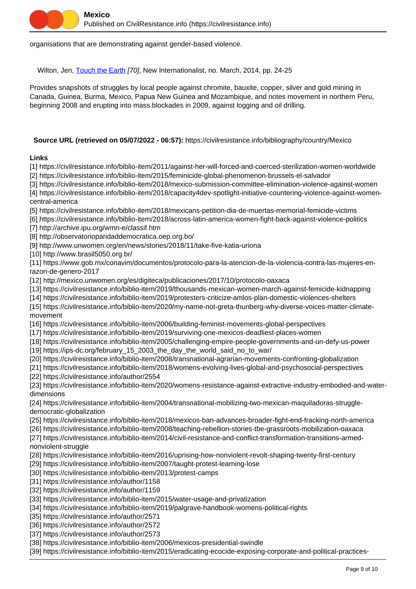organisations that are demonstrating against gender-based violence.

Wilton, Jen, [Touch the Earth](https://civilresistance.info/biblio-item/2014/touch-earth) [70], New Internationalist, no. March, 2014, pp. 24-25

Provides snapshots of struggles by local people against chromite, bauxite, copper, silver and gold mining in Canada, Guinea, Burma, Mexico, Papua New Guinea and Mozambique, and notes movement in northern Peru, beginning 2008 and erupting into mass blockades in 2009, against logging and oil drilling.

# **Source URL (retrieved on 05/07/2022 - 06:57):** https://civilresistance.info/bibliography/country/Mexico

## **Links**

[1] https://civilresistance.info/biblio-item/2011/against-her-will-forced-and-coerced-sterilization-women-worldwide [2] https://civilresistance.info/biblio-item/2015/feminicide-global-phenomenon-brussels-el-salvador

[3] https://civilresistance.info/biblio-item/2018/mexico-submission-committee-elimination-violence-against-women

[4] https://civilresistance.info/biblio-item/2018/capacity4dev-spotlight-initiative-countering-violence-against-womencentral-america

[5] https://civilresistance.info/biblio-item/2018/mexicans-petition-dia-de-muertas-memorial-femicide-victims

[6] https://civilresistance.info/biblio-item/2018/across-latin-america-women-fight-back-against-violence-politics

[7] http://archive.ipu.org/wmn-e/classif.htm

[8] http://observatorioparidaddemocratica.oep.org.bo/

[9] http://www.unwomen.org/en/news/stories/2018/11/take-five-katia-uriona

[10] http://www.brasil5050.org.br/

[11] https://www.gob.mx/conavim/documentos/protocolo-para-la-atencion-de-la-violencia-contra-las-mujeres-enrazon-de-genero-2017

[12] http://mexico.unwomen.org/es/digiteca/publicaciones/2017/10/protocolo-oaxaca

[13] https://civilresistance.info/biblio-item/2019/thousands-mexican-women-march-against-femicide-kidnapping

[14] https://civilresistance.info/biblio-item/2019/protesters-criticize-amlos-plan-domestic-violences-shelters

[15] https://civilresistance.info/biblio-item/2020/my-name-not-greta-thunberg-why-diverse-voices-matter-climatemovement

[16] https://civilresistance.info/biblio-item/2006/building-feminist-movements-global-perspectives

[17] https://civilresistance.info/biblio-item/2019/surviving-one-mexicos-deadliest-places-women

[18] https://civilresistance.info/biblio-item/2005/challenging-empire-people-governments-and-un-defy-us-power

[19] https://ips-dc.org/february\_15\_2003\_the\_day\_the\_world\_said\_no\_to\_war/

[20] https://civilresistance.info/biblio-item/2008/transnational-agrarian-movements-confronting-globalization

[21] https://civilresistance.info/biblio-item/2018/womens-evolving-lives-global-and-psychosocial-perspectives [22] https://civilresistance.info/author/2554

[23] https://civilresistance.info/biblio-item/2020/womens-resistance-against-extractive-industry-embodied-and-waterdimensions

[24] https://civilresistance.info/biblio-item/2004/transnational-mobilizing-two-mexican-maquiladoras-struggledemocratic-globalization

[25] https://civilresistance.info/biblio-item/2018/mexicos-ban-advances-broader-fight-end-fracking-north-america

[26] https://civilresistance.info/biblio-item/2008/teaching-rebellion-stories-tbe-grassroots-mobilization-oaxaca

[27] https://civilresistance.info/biblio-item/2014/civil-resistance-and-conflict-transformation-transitions-armednonviolent-struggle

[28] https://civilresistance.info/biblio-item/2016/uprising-how-nonviolent-revolt-shaping-twenty-first-century

[29] https://civilresistance.info/biblio-item/2007/taught-protest-learning-lose

[30] https://civilresistance.info/biblio-item/2013/protest-camps

[31] https://civilresistance.info/author/1158

[32] https://civilresistance.info/author/1159

[33] https://civilresistance.info/biblio-item/2015/water-usage-and-privatization

[34] https://civilresistance.info/biblio-item/2019/palgrave-handbook-womens-political-rights

[35] https://civilresistance.info/author/2571

[36] https://civilresistance.info/author/2572

[37] https://civilresistance.info/author/2573

[38] https://civilresistance.info/biblio-item/2006/mexicos-presidential-swindle

[39] https://civilresistance.info/biblio-item/2015/eradicating-ecocide-exposing-corporate-and-political-practices-